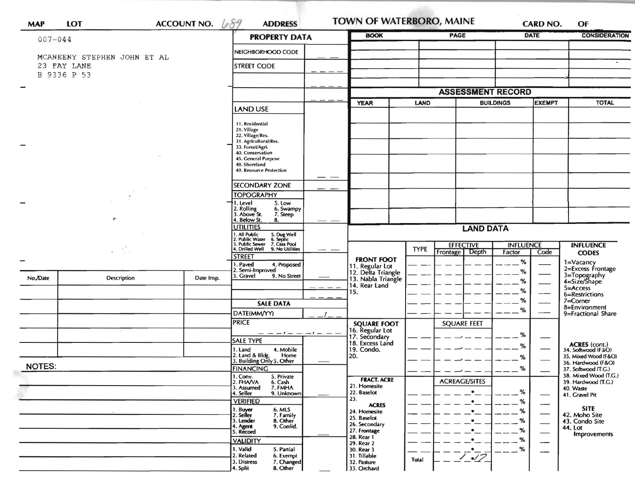| <b>ACCOUNT NO.</b><br><b>LOT</b><br><b>MAP</b> |                             |                                | 689<br><b>ADDRESS</b>                                                                                                                                     |                                         | <b>BOOK</b>                                                 | <b>PAGE</b>                                          | <b>TOWN OF WATERBORO, MAINE</b><br><b>CARD NO.</b><br><b>DATE</b> |                                    | OF<br><b>CONSIDERATION</b>    |                                                             |
|------------------------------------------------|-----------------------------|--------------------------------|-----------------------------------------------------------------------------------------------------------------------------------------------------------|-----------------------------------------|-------------------------------------------------------------|------------------------------------------------------|-------------------------------------------------------------------|------------------------------------|-------------------------------|-------------------------------------------------------------|
| $007 - 044$                                    |                             |                                | <b>PROPERTY DATA</b>                                                                                                                                      |                                         |                                                             |                                                      |                                                                   |                                    |                               |                                                             |
|                                                | MCANEENY STEPHEN JOHN ET AL |                                | NEIGHBORHOOD CODE                                                                                                                                         |                                         |                                                             |                                                      |                                                                   |                                    |                               |                                                             |
| 23 FAY LANE<br>B 9336 P 53                     |                             |                                | <b>STREET CODE</b>                                                                                                                                        |                                         |                                                             |                                                      |                                                                   |                                    |                               |                                                             |
|                                                |                             |                                | <b>ASSESSMENT RECORD</b>                                                                                                                                  |                                         |                                                             |                                                      |                                                                   |                                    |                               |                                                             |
|                                                |                             | <b>LAND USE</b>                |                                                                                                                                                           | <b>YEAR</b><br><b>LAND</b>              |                                                             |                                                      | EXEMPT<br><b>BUILDINGS</b>                                        |                                    | <b>TOTAL</b>                  |                                                             |
|                                                |                             | 11. Residential<br>21. Village |                                                                                                                                                           |                                         |                                                             |                                                      |                                                                   |                                    |                               |                                                             |
|                                                |                             |                                | 22. Village/Res.<br>31. Agricultural/Res.<br>33. Forest/Agri.<br>40. Conservation<br>45. General Purpose<br>48. Shoreland                                 |                                         |                                                             |                                                      |                                                                   |                                    |                               |                                                             |
|                                                |                             |                                |                                                                                                                                                           |                                         |                                                             |                                                      |                                                                   |                                    |                               |                                                             |
|                                                |                             |                                | 49. Resource Protection                                                                                                                                   |                                         |                                                             |                                                      |                                                                   |                                    |                               |                                                             |
|                                                |                             |                                | <b>SECONDARY ZONE</b><br><b>TOPOGRAPHY</b>                                                                                                                |                                         |                                                             |                                                      |                                                                   |                                    |                               |                                                             |
| $\mathbf{y} = \mathbf{y}^{\mathcal{A}}$        |                             |                                | 1. Level<br>5. Low<br>6. Swampy                                                                                                                           |                                         |                                                             |                                                      |                                                                   |                                    |                               |                                                             |
|                                                |                             |                                | 2. Rolling<br>3. Above St.<br>7. Steep<br>4. Below St.<br>8.                                                                                              |                                         |                                                             |                                                      |                                                                   |                                    |                               |                                                             |
|                                                |                             |                                | <b>UTILITIES</b><br>1. All Public<br>2. Public Water<br>3. Public Sewer<br>4. Drilled Well<br>5. Dug Well<br>6. Septic<br>7. Cess Pool<br>9. No Utilities |                                         | <b>LAND DATA</b>                                            |                                                      |                                                                   |                                    |                               |                                                             |
|                                                |                             |                                |                                                                                                                                                           |                                         |                                                             | <b>EFFECTIVE</b><br><b>TYPE</b><br>Depth<br>Frontage |                                                                   | <b>INFLUENCE</b><br>Code<br>Factor |                               | <b>INFLUENCE</b><br><b>CODES</b>                            |
|                                                |                             |                                |                                                                                                                                                           | <b>STREET</b><br>4. Proposed<br>. Paved |                                                             |                                                      |                                                                   | $\%$                               |                               | 1=Vacancy<br>2=Excess Frontage                              |
| No./Date                                       | <b>Description</b>          | Date Insp.                     | 2. Semi-Improved<br>3. Gravel<br>9. No Street                                                                                                             |                                         | 11. Regular Lot<br>12. Delta Triangle<br>13. Nabla Triangle |                                                      |                                                                   | $\%$<br>$\%$                       |                               | 3=Topography<br>4=Size/Shape                                |
|                                                |                             |                                |                                                                                                                                                           |                                         | 14. Rear Land<br>15.                                        |                                                      |                                                                   | %                                  |                               | 5=Access<br>6=Restrictions<br>$7 =$ Corner<br>8=Environment |
|                                                |                             |                                | <b>SALE DATA</b>                                                                                                                                          |                                         |                                                             |                                                      |                                                                   | %<br>%                             |                               |                                                             |
|                                                |                             |                                | DATE(MM/YY)<br><b>PRICE</b>                                                                                                                               |                                         | <b>SQUARE FOOT</b>                                          |                                                      | <b>SQUARE FEET</b>                                                |                                    |                               | 9=Fractional Share                                          |
|                                                |                             |                                | - - - 1<br>$- -$                                                                                                                                          |                                         | 16. Regular Lot<br>17. Secondary                            |                                                      |                                                                   | %                                  |                               |                                                             |
|                                                |                             |                                | <b>SALE TYPE</b><br>4. Mobile<br>1. Land                                                                                                                  |                                         | 18. Excess Land<br>19. Condo.                               |                                                      |                                                                   | $\%$                               |                               | <b>ACRES</b> (cont.)<br>34. Softwood (F&O)                  |
|                                                |                             |                                | 2. Land & Bldg.<br>Home<br>3. Building Only 5. Other                                                                                                      |                                         | 20.                                                         |                                                      |                                                                   | %                                  |                               | 35. Mixed Wood (F&O)<br>36. Hardwood (F&O)                  |
| <b>NOTES:</b>                                  |                             |                                | <b>FINANCING</b><br>5. Private<br>1. Conv.                                                                                                                |                                         |                                                             |                                                      |                                                                   | %                                  |                               | 37. Softwood (T.G.)<br>38. Mixed Wood (T.G.)                |
|                                                |                             |                                | 2. FHAVA<br>6. Cash<br>7. FMHA<br>3. Assumed<br>9. Unknown<br>4. Seller                                                                                   |                                         | <b>FRACT. ACRE</b><br>21. Homesite<br>22. Baselot           |                                                      | <b>ACREAGE/SITES</b><br>$\bullet$                                 | %                                  |                               | 39. Hardwood (T.G.)<br>40. Waste<br>41. Gravel Pit          |
|                                                |                             |                                | <b>VERIFIED</b><br>6. MLS                                                                                                                                 |                                         | 23.<br><b>ACRES</b>                                         |                                                      |                                                                   | %                                  | $\overline{\phantom{0}}$      | <b>SITE</b>                                                 |
|                                                |                             |                                | 1. Buyer<br>2. Seller<br>7. Family<br>8. Other<br>3. Lender                                                                                               |                                         | 24. Homesite<br>25. Baselot                                 |                                                      |                                                                   | %                                  | $\overline{\phantom{0}}$      | 42. Moho Site<br>43. Condo Site                             |
|                                                |                             |                                | 9. Confid.<br>4. Agent<br>5. Record                                                                                                                       |                                         | 26. Secondary<br>27. Frontage                               |                                                      |                                                                   |                                    | $\overbrace{\phantom{aaaaa}}$ | 44. Lot<br><b>Improvements</b>                              |
|                                                |                             |                                | <b>VALIDITY</b><br>1. Valid                                                                                                                               |                                         | 28. Rear 1<br>29. Rear 2                                    |                                                      | ٠                                                                 | %                                  | --                            |                                                             |
|                                                |                             |                                | 5. Partial<br>2. Related<br>6. Exempt<br>7. Changed<br>3. Distress                                                                                        |                                         | 30. Rear 3<br>31. Tillable<br>32. Pasture                   | Total                                                | 1.12                                                              | %                                  |                               |                                                             |
|                                                |                             |                                | 8. Other<br>4. Split                                                                                                                                      |                                         | 33. Orchard                                                 |                                                      |                                                                   |                                    |                               |                                                             |